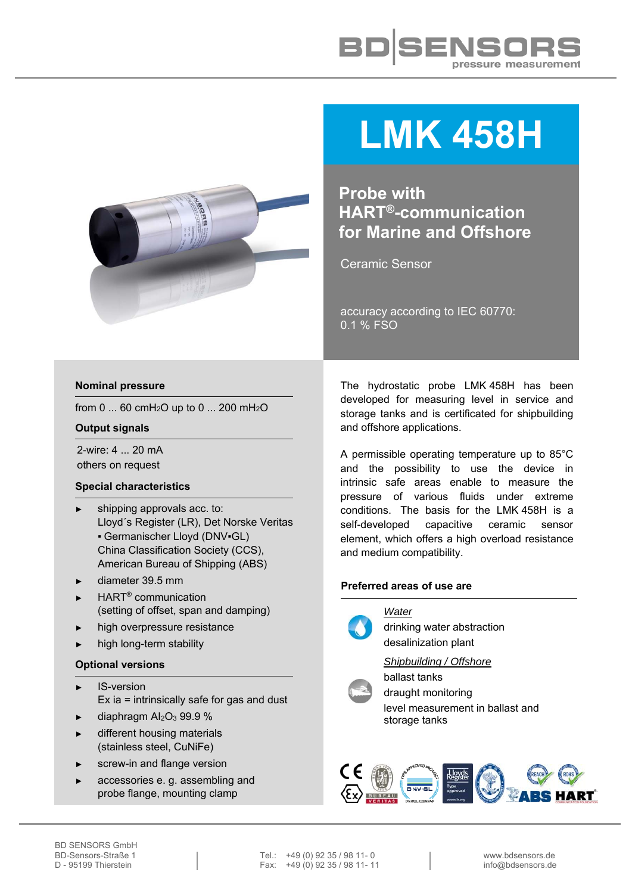



# **LMK 458H**

**Probe with HART®-communication for Marine and Offshore**

Ceramic Sensor

accuracy according to IEC 60770: 0.1 % FSO

#### **Nominal pressure**

from  $0...$  60 cmH<sub>2</sub>O up to  $0...$  200 mH<sub>2</sub>O

#### **Output signals**

2-wire: 4 ... 20 mA others on request

#### **Special characteristics**

- shipping approvals acc. to: Lloyd´s Register (LR), Det Norske Veritas ▪ Germanischer Lloyd (DNV▪GL) China Classification Society (CCS), American Bureau of Shipping (ABS)
- ► diameter 39.5 mm
- ► HART® communication (setting of offset, span and damping)
- ► high overpressure resistance
- high long-term stability

#### **Optional versions**

- ► IS-version Ex ia = intrinsically safe for gas and dust
- diaphragm Al<sub>2</sub>O<sub>3</sub> 99.9 %
- ► different housing materials (stainless steel, CuNiFe)
- screw-in and flange version
- accessories e. g. assembling and probe flange, mounting clamp

The hydrostatic probe LMK 458H has been developed for measuring level in service and storage tanks and is certificated for shipbuilding and offshore applications.

A permissible operating temperature up to 85°C and the possibility to use the device in intrinsic safe areas enable to measure the pressure of various fluids under extreme conditions. The basis for the LMK 458H is a self-developed capacitive ceramic sensor element, which offers a high overload resistance and medium compatibility.

#### **Preferred areas of use are**

*Water* 



drinking water abstraction desalinization plant

*Shipbuilding / Offshore*  ballast tanks



draught monitoring level measurement in ballast and storage tanks

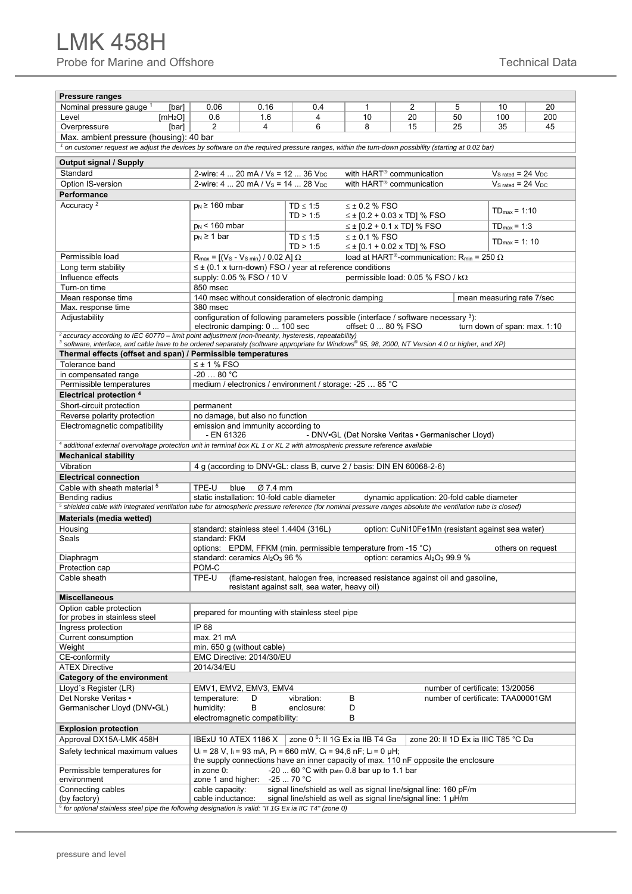### LMK 458H Probe for Marine and Offshore Technical Data

| Pressure ranges                                                                                                                                                                                               |                                                                                                                                                                       |      |                                                                       |                                                                           |                                                        |                                                   |                                   |                   |
|---------------------------------------------------------------------------------------------------------------------------------------------------------------------------------------------------------------|-----------------------------------------------------------------------------------------------------------------------------------------------------------------------|------|-----------------------------------------------------------------------|---------------------------------------------------------------------------|--------------------------------------------------------|---------------------------------------------------|-----------------------------------|-------------------|
| Nominal pressure gauge 1<br>[bar]                                                                                                                                                                             | 0.06                                                                                                                                                                  | 0.16 | 0.4                                                                   | $\mathbf{1}$                                                              | 2                                                      | 5                                                 | 10                                | 20                |
| Level<br>[ $mH2O$ ]                                                                                                                                                                                           | 0.6                                                                                                                                                                   | 1.6  | 4                                                                     | 10                                                                        | 20                                                     | 50                                                | 100                               | 200               |
| Overpressure<br>[bar]                                                                                                                                                                                         | $\overline{2}$                                                                                                                                                        | 4    | 6                                                                     | 8                                                                         | 15                                                     | 25                                                | 35                                | 45                |
| Max. ambient pressure (housing): 40 bar                                                                                                                                                                       |                                                                                                                                                                       |      |                                                                       |                                                                           |                                                        |                                                   |                                   |                   |
| <sup>1</sup> on customer request we adjust the devices by software on the required pressure ranges, within the turn-down possibility (starting at 0.02 bar)                                                   |                                                                                                                                                                       |      |                                                                       |                                                                           |                                                        |                                                   |                                   |                   |
| Output signal / Supply                                                                                                                                                                                        |                                                                                                                                                                       |      |                                                                       |                                                                           |                                                        |                                                   |                                   |                   |
| Standard                                                                                                                                                                                                      | 2-wire: 4  20 mA / $V_s$ = 12  36 $V_{DC}$                                                                                                                            |      |                                                                       | with HART <sup>®</sup> communication                                      |                                                        |                                                   | $V_{S \text{ rated}} = 24 V_{DC}$ |                   |
| Option IS-version                                                                                                                                                                                             | 2-wire: $4 20$ mA / $V_s = 14 28$ $V_{DC}$<br>with HART <sup>®</sup> communication<br>$VS$ rated = 24 $VDC$                                                           |      |                                                                       |                                                                           |                                                        |                                                   |                                   |                   |
| Performance<br>Accuracy <sup>2</sup>                                                                                                                                                                          | $p_N \geq 160$ mbar                                                                                                                                                   |      |                                                                       |                                                                           |                                                        |                                                   |                                   |                   |
|                                                                                                                                                                                                               |                                                                                                                                                                       |      | $TD \leq 1:5$<br>TD > 1:5                                             | $<$ ± 0.2 % FSO                                                           | $\leq$ ± [0.2 + 0.03 x TD] % FSO                       |                                                   | $TD_{max} = 1:10$                 |                   |
|                                                                                                                                                                                                               | $p_N$ < 160 mbar                                                                                                                                                      |      |                                                                       |                                                                           | $\leq$ ± [0.2 + 0.1 x TD] % FSO                        |                                                   | $TD_{max} = 1:3$                  |                   |
|                                                                                                                                                                                                               | $p_N \geq 1$ bar                                                                                                                                                      |      | $TD \leq 1:5$                                                         |                                                                           | $\leq$ ± 0.1 % FSO                                     |                                                   | $TD_{max} = 1:10$                 |                   |
|                                                                                                                                                                                                               |                                                                                                                                                                       |      | TD > 1:5                                                              |                                                                           | $\leq$ ± [0.1 + 0.02 x TD] % FSO                       |                                                   |                                   |                   |
| Permissible load                                                                                                                                                                                              | $R_{\text{max}} = [(V_{\text{S}} - V_{\text{S min}}) / 0.02 \text{ A}] \Omega$                                                                                        |      |                                                                       | load at HART <sup>®</sup> -communication: R <sub>min</sub> = 250 $\Omega$ |                                                        |                                                   |                                   |                   |
| Long term stability                                                                                                                                                                                           |                                                                                                                                                                       |      | $\leq \pm$ (0.1 x turn-down) FSO / year at reference conditions       |                                                                           |                                                        |                                                   |                                   |                   |
| Influence effects                                                                                                                                                                                             | supply: 0.05 % FSO / 10 V<br>permissible load: $0.05$ % FSO / k $\Omega$                                                                                              |      |                                                                       |                                                                           |                                                        |                                                   |                                   |                   |
| Turn-on time                                                                                                                                                                                                  | 850 msec                                                                                                                                                              |      |                                                                       |                                                                           |                                                        |                                                   |                                   |                   |
| Mean response time<br>Max. response time                                                                                                                                                                      | 140 msec without consideration of electronic damping<br>mean measuring rate 7/sec<br>380 msec                                                                         |      |                                                                       |                                                                           |                                                        |                                                   |                                   |                   |
| Adjustability                                                                                                                                                                                                 | configuration of following parameters possible (interface / software necessary 3):                                                                                    |      |                                                                       |                                                                           |                                                        |                                                   |                                   |                   |
|                                                                                                                                                                                                               | electronic damping: 0  100 sec                                                                                                                                        |      |                                                                       | offset: 0  80 % FSO                                                       |                                                        |                                                   | turn down of span: max. 1:10      |                   |
| <sup>2</sup> accuracy according to IEC 60770 – limit point adjustment (non-linearity, hysteresis, repeatability)                                                                                              |                                                                                                                                                                       |      |                                                                       |                                                                           |                                                        |                                                   |                                   |                   |
| 3 software, interface, and cable have to be ordered separately (software appropriate for Windows® 95, 98, 2000, NT Version 4.0 or higher, and XP)                                                             |                                                                                                                                                                       |      |                                                                       |                                                                           |                                                        |                                                   |                                   |                   |
| Thermal effects (offset and span) / Permissible temperatures<br>Tolerance band                                                                                                                                |                                                                                                                                                                       |      |                                                                       |                                                                           |                                                        |                                                   |                                   |                   |
| in compensated range                                                                                                                                                                                          | $\leq$ ± 1 % FSO<br>$-2080 °C$                                                                                                                                        |      |                                                                       |                                                                           |                                                        |                                                   |                                   |                   |
| Permissible temperatures                                                                                                                                                                                      | medium / electronics / environment / storage: -25  85 °C                                                                                                              |      |                                                                       |                                                                           |                                                        |                                                   |                                   |                   |
| Electrical protection 4                                                                                                                                                                                       |                                                                                                                                                                       |      |                                                                       |                                                                           |                                                        |                                                   |                                   |                   |
| Short-circuit protection                                                                                                                                                                                      | permanent                                                                                                                                                             |      |                                                                       |                                                                           |                                                        |                                                   |                                   |                   |
| Reverse polarity protection                                                                                                                                                                                   | no damage, but also no function                                                                                                                                       |      |                                                                       |                                                                           |                                                        |                                                   |                                   |                   |
| Electromagnetic compatibility                                                                                                                                                                                 | emission and immunity according to<br>- DNV-GL (Det Norske Veritas - Germanischer Lloyd)                                                                              |      |                                                                       |                                                                           |                                                        |                                                   |                                   |                   |
|                                                                                                                                                                                                               | - EN 61326                                                                                                                                                            |      |                                                                       |                                                                           |                                                        |                                                   |                                   |                   |
| 4 additional external overvoltage protection unit in terminal box KL 1 or KL 2 with atmospheric pressure reference available                                                                                  |                                                                                                                                                                       |      |                                                                       |                                                                           |                                                        |                                                   |                                   |                   |
| <b>Mechanical stability</b><br>Vibration                                                                                                                                                                      |                                                                                                                                                                       |      | 4 g (according to DNV-GL: class B, curve 2 / basis: DIN EN 60068-2-6) |                                                                           |                                                        |                                                   |                                   |                   |
| <b>Electrical connection</b>                                                                                                                                                                                  |                                                                                                                                                                       |      |                                                                       |                                                                           |                                                        |                                                   |                                   |                   |
| Cable with sheath material <sup>5</sup>                                                                                                                                                                       | TPE-U<br>Ø 7.4 mm<br>blue                                                                                                                                             |      |                                                                       |                                                                           |                                                        |                                                   |                                   |                   |
| Bending radius                                                                                                                                                                                                | static installation: 10-fold cable diameter<br>dynamic application: 20-fold cable diameter                                                                            |      |                                                                       |                                                                           |                                                        |                                                   |                                   |                   |
|                                                                                                                                                                                                               | <sup>5</sup> shielded cable with integrated ventilation tube for atmospheric pressure reference (for nominal pressure ranges absolute the ventilation tube is closed) |      |                                                                       |                                                                           |                                                        |                                                   |                                   |                   |
| Materials (media wetted)                                                                                                                                                                                      |                                                                                                                                                                       |      |                                                                       |                                                                           |                                                        |                                                   |                                   |                   |
| Housing                                                                                                                                                                                                       | standard: stainless steel 1.4404 (316L)                                                                                                                               |      |                                                                       |                                                                           |                                                        | option: CuNi10Fe1Mn (resistant against sea water) |                                   |                   |
| Seals                                                                                                                                                                                                         | standard: FKM                                                                                                                                                         |      | options: EPDM, FFKM (min. permissible temperature from -15 °C)        |                                                                           |                                                        |                                                   |                                   | others on request |
| Diaphragm                                                                                                                                                                                                     | standard: ceramics Al <sub>2</sub> O <sub>3</sub> 96 %                                                                                                                |      |                                                                       |                                                                           | option: ceramics Al <sub>2</sub> O <sub>3</sub> 99.9 % |                                                   |                                   |                   |
| Protection cap                                                                                                                                                                                                | POM-C                                                                                                                                                                 |      |                                                                       |                                                                           |                                                        |                                                   |                                   |                   |
| Cable sheath                                                                                                                                                                                                  | (flame-resistant, halogen free, increased resistance against oil and gasoline,<br>TPE-U                                                                               |      |                                                                       |                                                                           |                                                        |                                                   |                                   |                   |
| resistant against salt, sea water, heavy oil)                                                                                                                                                                 |                                                                                                                                                                       |      |                                                                       |                                                                           |                                                        |                                                   |                                   |                   |
| <b>Miscellaneous</b>                                                                                                                                                                                          |                                                                                                                                                                       |      |                                                                       |                                                                           |                                                        |                                                   |                                   |                   |
| Option cable protection<br>for probes in stainless steel                                                                                                                                                      |                                                                                                                                                                       |      | prepared for mounting with stainless steel pipe                       |                                                                           |                                                        |                                                   |                                   |                   |
| Ingress protection                                                                                                                                                                                            | IP 68                                                                                                                                                                 |      |                                                                       |                                                                           |                                                        |                                                   |                                   |                   |
| Current consumption                                                                                                                                                                                           | max. 21 mA                                                                                                                                                            |      |                                                                       |                                                                           |                                                        |                                                   |                                   |                   |
| Weight                                                                                                                                                                                                        | min. 650 g (without cable)                                                                                                                                            |      |                                                                       |                                                                           |                                                        |                                                   |                                   |                   |
| CE-conformity                                                                                                                                                                                                 | EMC Directive: 2014/30/EU                                                                                                                                             |      |                                                                       |                                                                           |                                                        |                                                   |                                   |                   |
| <b>ATEX Directive</b>                                                                                                                                                                                         | 2014/34/EU                                                                                                                                                            |      |                                                                       |                                                                           |                                                        |                                                   |                                   |                   |
| Category of the environment                                                                                                                                                                                   |                                                                                                                                                                       |      |                                                                       |                                                                           |                                                        |                                                   |                                   |                   |
| Lloyd's Register (LR)                                                                                                                                                                                         | EMV1, EMV2, EMV3, EMV4                                                                                                                                                |      |                                                                       |                                                                           |                                                        | number of certificate: 13/20056                   |                                   |                   |
| Det Norske Veritas ·                                                                                                                                                                                          | temperature:                                                                                                                                                          | D    | vibration:                                                            | B                                                                         |                                                        | number of certificate: TAA00001GM                 |                                   |                   |
| Germanischer Lloyd (DNV-GL)                                                                                                                                                                                   | humidity:<br>В<br>D<br>enclosure:<br>electromagnetic compatibility:<br>B                                                                                              |      |                                                                       |                                                                           |                                                        |                                                   |                                   |                   |
| <b>Explosion protection</b>                                                                                                                                                                                   |                                                                                                                                                                       |      |                                                                       |                                                                           |                                                        |                                                   |                                   |                   |
| zone 0 <sup>6</sup> : Il 1G Ex ia IIB T4 Ga<br>Approval DX15A-LMK 458H<br>IBExU 10 ATEX 1186 X<br>zone 20: II 1D Ex ia IIIC T85 °C Da                                                                         |                                                                                                                                                                       |      |                                                                       |                                                                           |                                                        |                                                   |                                   |                   |
| Safety technical maximum values                                                                                                                                                                               | $U_i = 28$ V, $I_i = 93$ mA, $P_i = 660$ mW, $C_i = 94.6$ nF; $L_i = 0$ µH;                                                                                           |      |                                                                       |                                                                           |                                                        |                                                   |                                   |                   |
|                                                                                                                                                                                                               | the supply connections have an inner capacity of max. 110 nF opposite the enclosure                                                                                   |      |                                                                       |                                                                           |                                                        |                                                   |                                   |                   |
| Permissible temperatures for                                                                                                                                                                                  | -20  60 $\degree$ C with p <sub>atm</sub> 0.8 bar up to 1.1 bar<br>in zone 0:                                                                                         |      |                                                                       |                                                                           |                                                        |                                                   |                                   |                   |
| environment                                                                                                                                                                                                   | $-2570 °C$<br>zone 1 and higher:                                                                                                                                      |      |                                                                       |                                                                           |                                                        |                                                   |                                   |                   |
| signal line/shield as well as signal line/signal line: 160 pF/m<br>Connecting cables<br>cable capacity:<br>cable inductance:<br>signal line/shield as well as signal line/signal line: 1 µH/m<br>(by factory) |                                                                                                                                                                       |      |                                                                       |                                                                           |                                                        |                                                   |                                   |                   |
| $6$ for optional stainless steel pipe the following designation is valid: "II 1G Ex ia IIC T4" (zone 0)                                                                                                       |                                                                                                                                                                       |      |                                                                       |                                                                           |                                                        |                                                   |                                   |                   |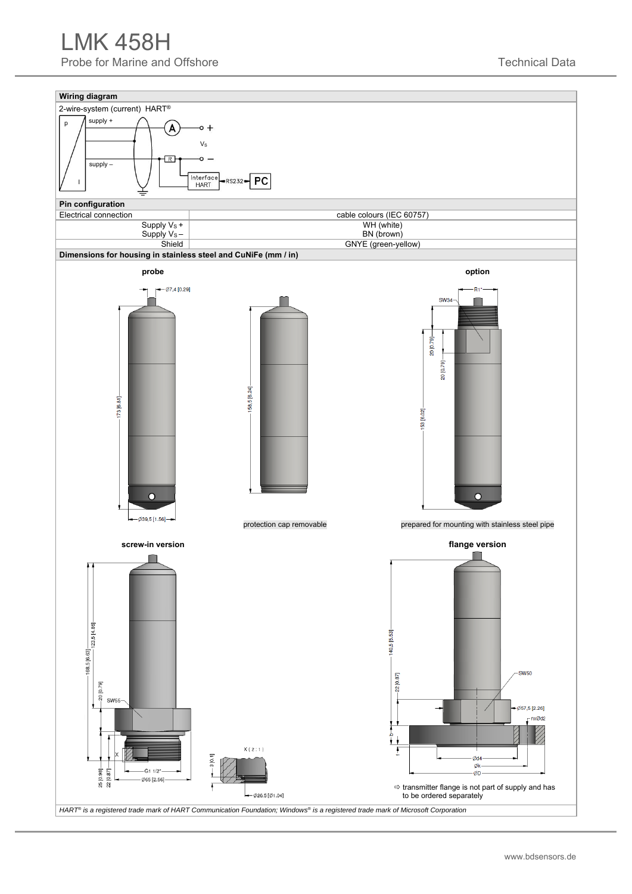## LMK 458H

Probe for Marine and Offshore Technical Data

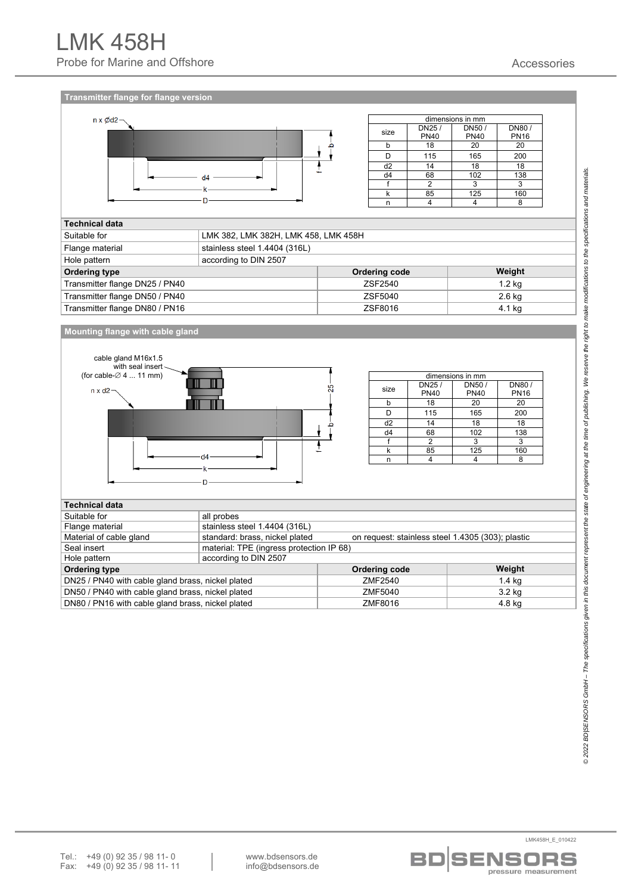